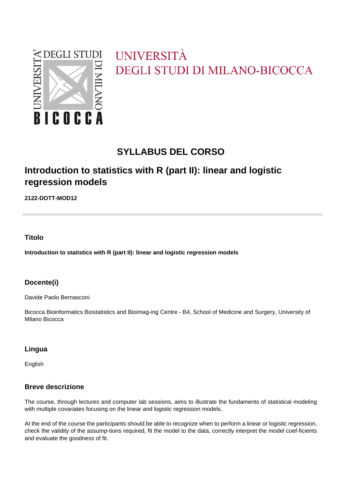

# UNIVERSITÀ **DEGLI STUDI DI MILANO-BICOCCA**

## **SYLLABUS DEL CORSO**

### **Introduction to statistics with R (part II): linear and logistic regression models**

**2122-DOTT-MOD12**

#### **Titolo**

**Introduction to statistics with R (part II): linear and logistic regression models**

#### **Docente(i)**

Davide Paolo Bernasconi

Bicocca Bioinformatics Biostatistics and Bioimag-ing Centre - B4, School of Medicine and Surgery, University of Milano Bicocca

#### **Lingua**

English

#### **Breve descrizione**

The course, through lectures and computer lab sessions, aims to illustrate the fundaments of statistical modeling with multiple covariates focusing on the linear and logistic regression models.

At the end of the course the participants should be able to recognize when to perform a linear or logistic regression, check the validity of the assump-tions required, fit the model to the data, correctly interpret the model coef-ficients and evaluate the goodness of fit.